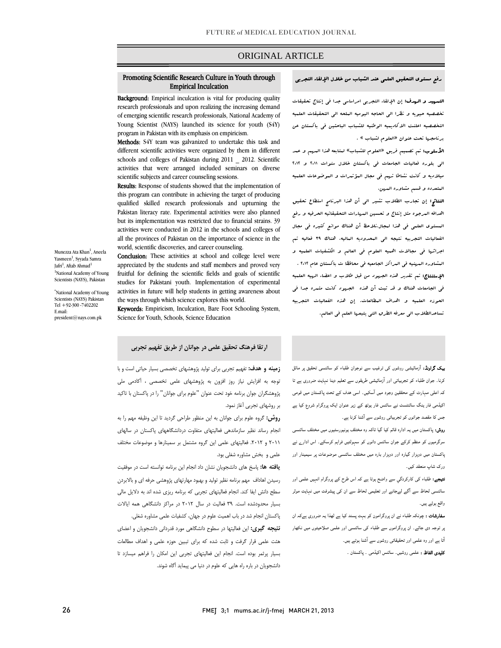## ORIGINAL ARTICLE

## رفع مستوي التحقيق العلمي عند الشباب من خلال الإلقاء التجربي

i

**التسهيد و الهدف:** إن الإلقاء التجربي امرا<sub>سلسي</sub> جدا ف<sub>ي</sub> إنتاج تحقيقات تخصصيه حيويه و نظرا الي الحاجه اليوميه الملحه الي التحقيقات العلميه التخصصيه اعلنت الاكاديميه الوطنيه للشباب الباحثين في باكستان عن برنامجها تحت عنوان «العلوم لشباب » .

 الأسلوب: تم تصميم فريق «العلوم للشباب» لمتابعه هذا المهم و عمد د.<br>ال<sub>ى</sub> بلوره فعاليات الجامعات ف<sub>ى</sub> باكستان خلال سنوات ٦٠١١ و ٢٠١٢ ميلاديه و كانت نشاطا تهم في مجال المؤتمرات و الموضوعات العلميه المتعدده و قسم مشاوره المهن.

**النتائج:** إن تجارب الطلاب تشير ال<sub>ى</sub> أن هذا البرنام<sub>ج</sub> اس*تطاع* تحقيق اهدافه المرجوه مثل إنتاج و تحسين المهارات التحقيقاتيه الحرفيه و رفع المستوي العلمي في هذا لمجال.نلاحظ أن هناك موانع كثيره في مجال الفعاليات التجربيه نتيجه الي المحدوديه الماليه. هناك 39 فعاليه تم اجرائها في مجالات اهميه العلوم في العالم و الكشفيات العلميه و المشاوره المهنيه في المراكز الجامعيه في محافظا ت باكستان عام 2012 . ֞ <mark>الإمتنتاج:</mark> تم تقدير هذه الج*هود* من قبل طلاب و اعضاء ال*ربي*ه العلميه في الجامعات هناك و قد ثبت أن هذه الجهود كانت مثمره جدا في الحوزه العلميه و اهداف المطالعات. إن هذه الفعاليات التجربيه تساعدالطلاب الي معرفه الطرق التي يتبعها العلم في العالم.

# Promoting Scientific Research Culture in Youth through Empirical Inculcation

i

**Background:** Empirical inculcation is vital for producing quality research professionals and upon realizing the increasing demand of emerging scientific research professionals, National Academy of Young Scientist (NAYS) launched its science for youth (S4Y) program in Pakistan with its emphasis on empiricism.

program in rakistan with its emphasis on empiricism.<br>**Methods:** S4Y team was galvanized to undertake this task and different scientific activities were organized by them in different schools and colleges of Pakistan during 2011 \_ 2012. Scientific activities that were arranged included seminars on diverse scientific subjects and career counseling sessions.

Results: Response of students showed that the implementation of this program can contribute in achieving the target of producing qualified skilled research professionals and upturning the Pakistan literacy rate. Experimental activities were also planned activities were conducted in 2012 in the schools and colleges of all the provinces of Pakistan on the importance of science in the world, scientific discoveries, and career counseling. but its implementation was restricted due to financial strains. 39

**Conclusion:** These activities at school and college level were fruitful for defining the scientific fields and goals of scientific studies for Pakistani youth. Implementation of experimental activities in future will help students in getting awareness about appreciated by the students and staff members and proved very the ways through which science explores this world.

Inc<sup>Ways</sup> unough which science explores uns world.<br>**Keywords:** Empiricism, Inculcation, Bare Foot Schooling System, Science for Youth, Schools, Science Education

Munezza Ata Khan<sup>1</sup>, Aneela Yasmeen<sup>1</sup>, Syyada Samra Jafri $^1$ , Aftab Ahmad $^1$ <sup>1</sup>National Academy of Young Scientists (NAYS), Pakistan

\* National Academy of Young Scientists (NAYS) Pakistan Tel +92-300 -7402202 E.mail: president@nays.com.pk

## **ارتقا فرهنگ تحقيق علمي در جوانان از طريق تفهيم تجربي**

 بیک گراونڈ: آزمائیشی روشوں کی ترغیب سے نوجوان طلباء کو سائنسی تحقیق پر مائل کرنا۔ جوان طلباء کو تجربیاتی اور آزمائیشی طریقوں سے تعلیم دینا نہایت ضروری ہے تا کہ اعلی مہارت کے محققین وجود میں آسکیں۔ اسی ھدف کے تحت پاکستان میں قومی اکیڈمی فار ینگ سائنٹسٹ نے سائنس فار یوتھ کے زیر عنوان ایک پروگرام شروع کیا ہے جس کا مقصد جوانوں کو تجربیاتی روشوں سے آشنا کرنا ہے۔

 روش: پاکستان میں یہ ادارہ قائم کیا گیا تاکہ وہ مختلف یونیورسٹیوں میں مختلف سائنسی سرگرمیوں کو منظم کرکے جوان سائنس دانوں کو سہولتیں فراہم کرسکے۔ اس ادارے نے پاکستان میں دوہزار گیارہ اور دوہزار بارہ میں مختلف سائنسی موضوعات پر سیمینار اور ورک شاپ منعقد کیں۔

 نتیجے: طلباء کی کارکردگي سے واضح ہوتا ہے کہ اس طرح کے پروگرام انہیں علمی اور سائنسی لحاظ سے آگے لےجانے اور تعلیمی لحاظ سے ان کی پیشرفت میں نہایت موثر واقع ہوئے ہیں۔

**سفارشات :** چونکہ طلباء نے ان پروگرامون کو بہت پسند کیا ہے لھذا یہ ضروری ہےکہ ان پر توجہ دی جائے۔ ان پروگراموں سے طلباء کی سائنسی اور علمی صلاحیتوں میں نکھار آتا ہے اور وہ علمی اور تحقیقاتی روشوں سے آشنا ہوتے ہیں۔

**کلیدی الفاظ :** علمی روشیں۔ سائنس اکیڈمی ۔ پاکستان ۔<br>۔

 **زمينه و هدف:** تفهيم تجربي براي توليد پژوهشهاي تخصصي بسيار حياتي است و با توجه به افزايش نياز روز افزون به پژوهشهاي علمي تخصصي ، آكادمي ملي پژوهشگران جوان برنامه خود تحت عنوان "علوم براي جوانان" را در پاكستان با تاكيد بر روشهاي تجربي آغاز نمود.

 **روش:** گروه علوم براي جوانان به اين منظور طراحي گرديد تا اين وظيفه مهم را به انجام رساند نظير سازماندهي فعاليتهاي متفاوت دردانشگاههاي پاكستان در سالهاي .<br>۲۰۱۱ و ۲۰۱۲. فعاليتهای علمی اين گروه مشتمل بر سمينارها و موضوعات مختلف علمي و بخش مشاوره شغلي بود.

 **يافته ها:** پاسخ هاي دانشجويان نشان داد انجام اين برنامه توانسته است در موفقيت رسيدن اهاداف مهم برنامه نظير توليد و بهبود مهارتهاي پژوهشي حرفه اي و بالابردن سطح دانش ايفا كند. انجام فعاليتهاي تجربي كه برنامه ريزي شده اند به دلايل مالي بسيار محدودشده است. 39 فعاليت در سال 2012 در مراكز دانشگاهي همه ايالات

 پاكستان انجام شد در باب اهميت علوم در جهان، كشفيات علمي مشاوره شغلي. **نتيجه گيري:** اين فعاليتها در سطوح دانشگاهي مورد قدرداني دانشجويان و اعضاي هئت علمي قرار گرفت و ثابت شده كه براي تببين حوزه علمي و اهداف مطالعات بسيار پرثمر بوده است. انجام اين فعاليتهاي تجربي اين امكان را فراهم ميسازد تا دانشجويان در باره راه هايي كه علوم در دنيا مي پيمايد آگاه شوند.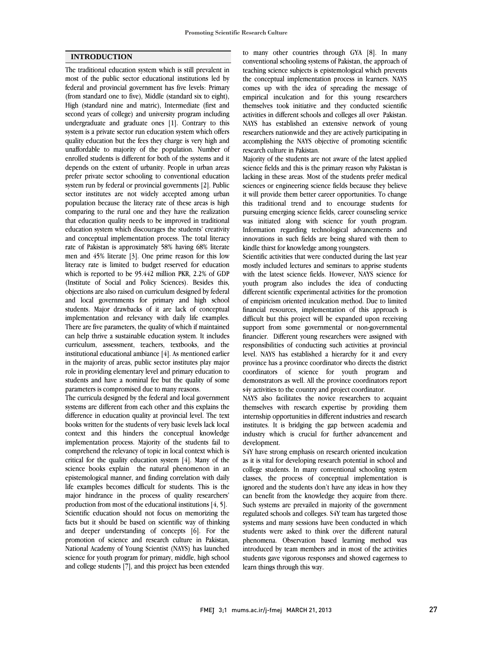## **INTRODUCTION**

The traditional education system which is still prevalent in most of the public sector educational institutions led by federal and provincial government has five levels: Primary (from standard one to five), Middle (standard six to eight), High (standard nine and matric), Intermediate (first and second years of college) and university program including undergraduate and graduate ones [1]. Contrary to this system is a private sector run education system which offers quality education but the fees they charge is very high and unaffordable to majority of the population. Number of enrolled students is different for both of the systems and it depends on the extent of urbanity. People in urban areas prefer private sector schooling to conventional education system run by federal or provincial governments [2]. Public sector institutes are not widely accepted among urban population because the literacy rate of these areas is high comparing to the rural one and they have the realization that education quality needs to be improved in traditional education system which discourages the students' creativity and conceptual implementation process. The total literacy rate of Pakistan is approximately 58% having 68% literate men and 45% literate [3]. One prime reason for this low literacy rate is limited to budget reserved for education which is reported to be 95.442 million PKR, 2.2% of GDP (Institute of Social and Policy Sciences). Besides this, objections are also raised on curriculum designed by federal and local governments for primary and high school students. Major drawbacks of it are lack of conceptual implementation and relevancy with daily life examples. There are five parameters, the quality of which if maintained can help thrive a sustainable education system. It includes curriculum, assessment, teachers, textbooks, and the institutional educational ambiance [4]. As mentioned earlier in the majority of areas, public sector institutes play major role in providing elementary level and primary education to students and have a nominal fee but the quality of some parameters is compromised due to many reasons.

The curricula designed by the federal and local government systems are different from each other and this explains the difference in education quality at provincial level. The text books written for the students of very basic levels lack local context and this hinders the conceptual knowledge implementation process. Majority of the students fail to comprehend the relevancy of topic in local context which is critical for the quality education system [4]. Many of the science books explain the natural phenomenon in an epistemological manner, and finding correlation with daily life examples becomes difficult for students. This is the major hindrance in the process of quality researchers' production from most of the educational institutions [4, 5]. Scientific education should not focus on memorizing the facts but it should be based on scientific way of thinking and deeper understanding of concepts [6]. For the promotion of science and research culture in Pakistan, National Academy of Young Scientist (NAYS) has launched science for youth program for primary, middle, high school and college students [7], and this project has been extended

 to many other countries through GYA [8]. In many conventional schooling systems of Pakistan, the approach of teaching science subjects is epistemological which prevents the conceptual implementation process in learners. NAYS empirical inculcation and for this young researchers themselves took initiative and they conducted scientific activities in different schools and colleges all over Pakistan. NAYS has established an extensive network of young accomplishing the NAYS objective of promoting scientific research culture in Pakistan. comes up with the idea of spreading the message of researchers nationwide and they are actively participating in

 Majority of the students are not aware of the latest applied science fields and this is the primary reason why Pakistan is sciences or engineering science fields because they believe it will provide them better career opportunities. To change this traditional trend and to encourage students for pursuing emerging science fields, career counseling service Information regarding technological advancements and innovations in such fields are being shared with them to kindle thirst for knowledge among youngsters. lacking in these areas. Most of the students prefer medical was initiated along with science for youth program.

 Scientific activities that were conducted during the last year with the latest science fields. However, NAYS science for youth program also includes the idea of conducting different scientific experimental activities for the promotion of empiricism oriented inculcation method. Due to limited difficult but this project will be expanded upon receiving support from some governmental or non-governmental financier. Different young researchers were assigned with responsibilities of conducting such activities at provincial province has a province coordinator who directs the district coordinators of science for youth program and demonstrators as well. All the province coordinators report s4y activities to the country and project coordinator. mostly included lectures and seminars to apprise students financial resources, implementation of this approach is level. NAYS has established a hierarchy for it and every

 themselves with research expertise by providing them internship opportunities in different industries and research institutes. It is bridging the gap between academia and industry which is crucial for further advancement and NAYS also facilitates the novice researchers to acquaint development.

S4Y have strong emphasis on research oriented inculcation as it is vital for developing research potential in school and college students. In many conventional schooling system classes, the process of conceptual implementation is can benefit from the knowledge they acquire from there. Such systems are prevailed in majority of the government regulated schools and colleges. S4Y team has targeted those systems and many sessions have been conducted in which phenomena. Observation based learning method was introduced by team members and in most of the activities students gave vigorous responses and showed eagerness to learn things through this way. ignored and the students don't have any ideas in how they students were asked to think over the different natural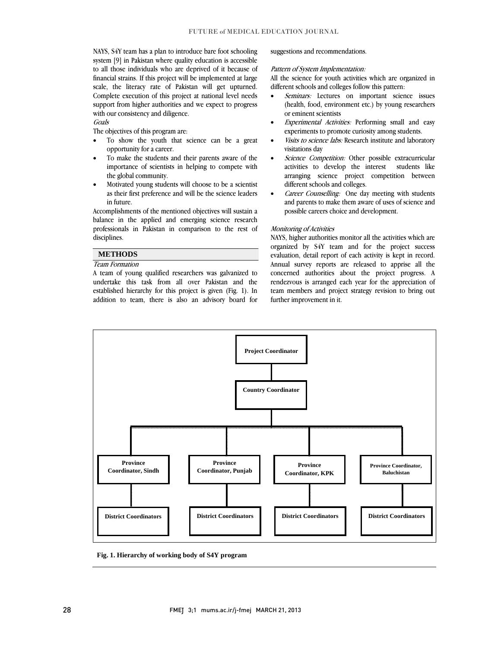NAYS, S4Y team has a plan to introduce bare foot schooling system [9] in Pakistan where quality education is accessible to all those individuals who are deprived of it because of scale, the literacy rate of Pakistan will get upturned. Complete execution of this project at national level needs support from higher authorities and we expect to progress financial strains. If this project will be implemented at large with our consistency and diligence. **Goals** 

The objectives of this program are:

- To show the youth that science can be a great opportunity for a career.
- • To make the students and their parents aware of the importance of scientists in helping to compete with the global community.
- • Motivated young students will choose to be a scientist as their first preference and will be the science leaders in future.

 Accomplishments of the mentioned objectives will sustain a balance in the applied and emerging science research professionals in Pakistan in comparison to the rest of disciplines.

> $\overline{a}$  $\overline{a}$

### **METHODS**

## Team Formation

 A team of young qualified researchers was galvanized to undertake this task from all over Pakistan and the established hierarchy for this project is given (Fig. 1). In addition to team, there is also an advisory board for suggestions and recommendations.

#### Pattern of System Implementation:

All the science for youth activities which are organized in different schools and colleges follow this pattern:

- *Seminars:* Lectures on important science issues (health, food, environment etc.) by young researchers or eminent scientists
- • Experimental Activities: Performing small and easy experiments to promote curiosity among students.
- *Visits to science labs:* Research institute and laboratory visitations day
- • Science Competition: Other possible extracurricular activities to develop the interest students like activities to develop the interest students like different schools and colleges.
- Career Counselling: One day meeting with students and parents to make them aware of uses of science and possible careers choice and development.

### Monitoring of Activities

 NAYS, higher authorities monitor all the activities which are organized by S4Y team and for the project success Annual survey reports are released to apprise all the concerned authorities about the project progress. A rendezvous is arranged each year for the appreciation of team members and project strategy revision to bring out evaluation, detail report of each activity is kept in record. further improvement in it.



**Fig. 1. Hierarchy of working body of S4Y program**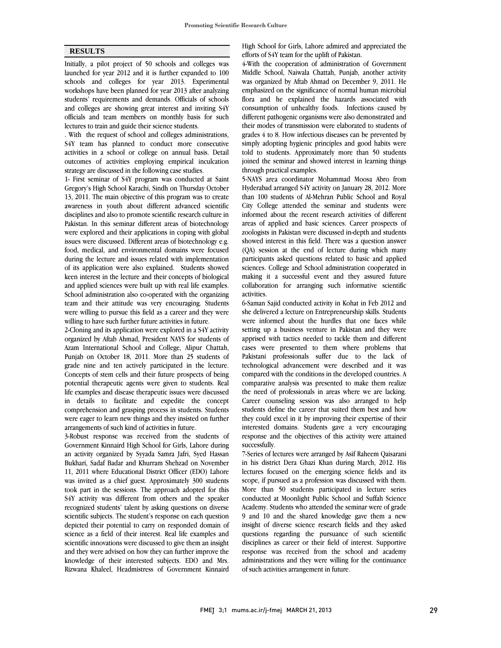## **RESULTS**

Initially, a pilot project of 50 schools and colleges was launched for year 2012 and it is further expanded to 100 schools and colleges for year 2013. Experimental workshops have been planned for year 2013 after analyzing students' requirements and demands. Officials of schools and colleges are showing great interest and inviting S4Y officials and team members on monthly basis for such lectures to train and guide their science students.

. With the request of school and colleges administrations, S4Y team has planned to conduct more consecutive activities in a school or college on annual basis. Detail outcomes of activities employing empirical inculcation strategy are discussed in the following case studies.

1- First seminar of S4Y program was conducted at Saint Gregory's High School Karachi, Sindh on Thursday October 13, 2011. The main objective of this program was to create awareness in youth about different advanced scientific disciplines and also to promote scientific research culture in Pakistan. In this seminar different areas of biotechnology were explored and their applications in coping with global issues were discussed. Different areas of biotechnology e.g. food, medical, and environmental domains were focused during the lecture and issues related with implementation of its application were also explained. Students showed keen interest in the lecture and their concepts of biological and applied sciences were built up with real life examples. School administration also co-operated with the organizing team and their attitude was very encouraging. Students were willing to pursue this field as a career and they were willing to have such further future activities in future.

2-Cloning and its application were explored in a S4Y activity organized by Aftab Ahmad, President NAYS for students of Azam International School and College, Alipur Chattah, Punjab on October 18, 2011. More than 25 students of grade nine and ten actively participated in the lecture. Concepts of stem cells and their future prospects of being potential therapeutic agents were given to students. Real life examples and disease therapeutic issues were discussed in details to facilitate and expedite the concept comprehension and grasping process in students. Students were eager to learn new things and they insisted on further arrangements of such kind of activities in future.

3-Robust response was received from the students of Government Kinnaird High School for Girls, Lahore during an activity organized by Syyada Samra Jafri, Syed Hassan Bukhari, Sadaf Badar and Khurram Shehzad on November 11, 2011 where Educational District Officer (EDO) Lahore was invited as a chief guest. Approximately 300 students took part in the sessions. The approach adopted for this S4Y activity was different from others and the speaker recognized students' talent by asking questions on diverse scientific subjects. The student's response on each question depicted their potential to carry on responded domain of science as a field of their interest. Real life examples and scientific innovations were discussed to give them an insight and they were advised on how they can further improve the knowledge of their interested subjects. EDO and Mrs. Rizwana Khaleel, Headmistress of Government Kinnaird

 High School for Girls, Lahore admired and appreciated the efforts of S4Y team for the uplift of Pakistan.

 4-With the cooperation of administration of Government Middle School, Naiwala Chattah, Punjab, another activity was organized by Aftab Ahmad on December 9, 2011. He emphasized on the significance of normal human microbial consumption of unhealthy foods. Infections caused by different pathogenic organisms were also demonstrated and their modes of transmission were elaborated to students of grades 4 to 8. How infectious diseases can be prevented by told to students. Approximately more than 50 students joined the seminar and showed interest in learning things through practical examples. flora and he explained the hazards associated with simply adopting hygienic principles and good habits were

 5-NAYS area coordinator Mohammad Moosa Abro from than 100 students of Al-Mehran Public School and Royal City College attended the seminar and students were informed about the recent research activities of different areas of applied and basic sciences. Career prospects of showed interest in this field. There was a question answer (QA) session at the end of lecture during which many participants asked questions related to basic and applied sciences. College and School administration cooperated in collaboration for arranging such informative scientific activities. Hyderabad arranged S4Y activity on January 28, 2012. More zoologists in Pakistan were discussed in-depth and students making it a successful event and they assured future

 6-Saman Sajid conducted activity in Kohat in Feb 2012 and she delivered a lecture on Entrepreneurship skills. Students setting up a business venture in Pakistan and they were apprised with tactics needed to tackle them and different cases were presented to them where problems that Pakistani professionals suffer due to the lack of compared with the conditions in the developed countries. A comparative analysis was presented to make them realize the need of professionals in areas where we are lacking. Career counseling session was also arranged to help they could excel in it by improving their expertise of their interested domains. Students gave a very encouraging response and the objectives of this activity were attained successfully. were informed about the hurdles that one faces while technological advancement were described and it was students define the career that suited them best and how

 in his district Dera Ghazi Khan during March, 2012. His lectures focused on the emerging science fields and its scope, if pursued as a profession was discussed with them. More than 50 students participated in lecture series Academy. Students who attended the seminar were of grade 9 and 10 and the shared knowledge gave them a new insight of diverse science research fields and they asked questions regarding the pursuance of such scientific response was received from the school and academy administrations and they were willing for the continuance of such activities arrangement in future. 7-Series of lectures were arranged by Asif Raheem Qaisarani conducted at Moonlight Public School and Suffah Science disciplines as career or their field of interest. Supportive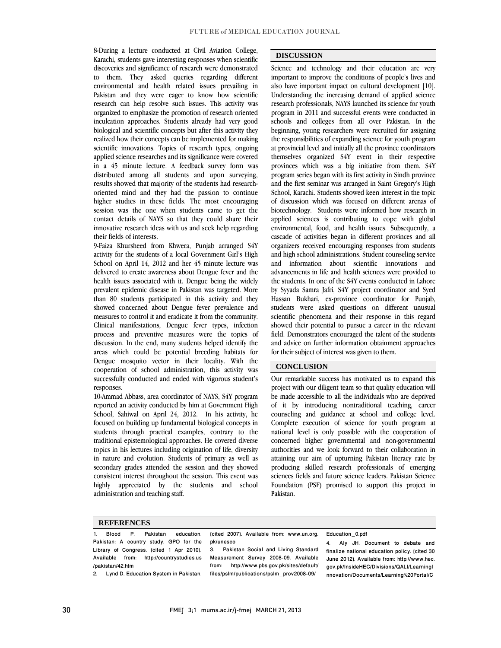8-During a lecture conducted at Civil Aviation College, Karachi, students gave interesting responses when scientific discoveries and significance of research were demonstrated to them. They asked queries regarding different environmental and health related issues prevailing in Pakistan and they were eager to know how scientific research can help resolve such issues. This activity was organized to emphasize the promotion of research oriented inculcation approaches. Students already had very good biological and scientific concepts but after this activity they realized how their concepts can be implemented for making scientific innovations. Topics of research types, ongoing applied science researches and its significance were covered in a 45 minute lecture. A feedback survey form was distributed among all students and upon surveying, results showed that majority of the students had researchoriented mind and they had the passion to continue higher studies in these fields. The most encouraging session was the one when students came to get the contact details of NAYS so that they could share their innovative research ideas with us and seek help regarding their fields of interests.

9-Faiza Khursheed from Khwera, Punjab arranged S4Y activity for the students of a local Government Girl's High School on April 14, 2012 and her 45 minute lecture was delivered to create awareness about Dengue fever and the health issues associated with it. Dengue being the widely prevalent epidemic disease in Pakistan was targeted. More than 80 students participated in this activity and they showed concerned about Dengue fever prevalence and measures to control it and eradicate it from the community. Clinical manifestations, Dengue fever types, infection process and preventive measures were the topics of discussion. In the end, many students helped identify the areas which could be potential breeding habitats for Dengue mosquito vector in their locality. With the cooperation of school administration, this activity was successfully conducted and ended with vigorous student's responses.

10-Ammad Abbass, area coordinator of NAYS, S4Y program reported an activity conducted by him at Government High School, Sahiwal on April 24, 2012. In his activity, he focused on building up fundamental biological concepts in students through practical examples, contrary to the traditional epistemological approaches. He covered diverse topics in his lectures including origination of life, diversity in nature and evolution. Students of primary as well as secondary grades attended the session and they showed consistent interest throughout the session. This event was highly appreciated by the students and school administration and teaching staff.

## **DISCUSSION**

Science and technology and their education are very important to improve the conditions of people's lives and also have important impact on cultural development [10]. Understanding the increasing demand of applied science research professionals, NAYS launched its science for youth program in 2011 and successful events were conducted in schools and colleges from all over Pakistan. In the beginning, young researchers were recruited for assigning the responsibilities of expanding science for youth program at provincial level and initially all the province coordinators themselves organized S4Y event in their respective provinces which was a big initiative from them. S4Y program series began with its first activity in Sindh province and the first seminar was arranged in Saint Gregory's High School, Karachi. Students showed keen interest in the topic of discussion which was focused on different arenas of biotechnology. Students were informed how research in applied sciences is contributing to cope with global environmental, food, and health issues. Subsequently, a cascade of activities began in different provinces and all organizers received encouraging responses from students and high school administrations. Student counseling service and information about scientific innovations and advancements in life and health sciences were provided to the students. In one of the S4Y events conducted in Lahore by Syyada Samra Jafri, S4Y project coordinator and Syed Hassan Bukhari, ex-province coordinator for Punjab, students were asked questions on different unusual scientific phenomena and their response in this regard showed their potential to pursue a career in the relevant field. Demonstrators encouraged the talent of the students and advice on further information obtainment approaches for their subject of interest was given to them.

#### **CONCLUSION**

Our remarkable success has motivated us to expand this project with our diligent team so that quality education will be made accessible to all the individuals who are deprived of it by introducing nontraditional teaching, career counseling and guidance at school and college level. Complete execution of science for youth program at national level is only possible with the cooperation of concerned higher governmental and non-governmental authorities and we look forward to their collaboration in attaining our aim of upturning Pakistan literacy rate by producing skilled research professionals of emerging sciences fields and future science leaders. Pakistan Science Foundation (PSF) promised to support this project in Pakistan.

#### **REFERENCES**

1. Blood P. Pakistan education. Pakistan: A country study. GPO for the Library of Congress. [cited 1 Apr 2010]. Available from: http://countrystudies.us /pakistan/42.htm

2. Lynd D. Education System in Pakistan.

[cited 2007]. Available from: www.un.org. pk/unesco

3. Pakistan Social and Living Standard Measurement Survey 2008-09. Available from: http://www.pbs.gov.pk/sites/default/ files/pslm/publications/pslm\_prov2008-09/

#### Education\_0.pdf

4. Aly JH. Document to debate and finalize national education policy. [cited 30 June 2012]. Available from: http://www.hec. gov.pk/InsideHEC/Divisions/QALI/LearningI nnovation/Documents/Learning%20Portal/C